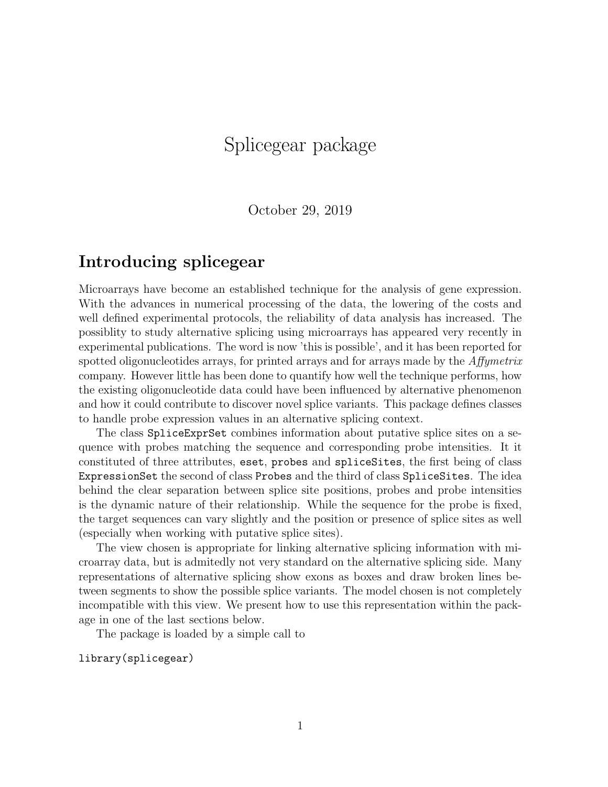# Splicegear package

October 29, 2019

#### Introducing splicegear

Microarrays have become an established technique for the analysis of gene expression. With the advances in numerical processing of the data, the lowering of the costs and well defined experimental protocols, the reliability of data analysis has increased. The possiblity to study alternative splicing using microarrays has appeared very recently in experimental publications. The word is now 'this is possible', and it has been reported for spotted oligonucleotides arrays, for printed arrays and for arrays made by the *Affymetrix* company. However little has been done to quantify how well the technique performs, how the existing oligonucleotide data could have been influenced by alternative phenomenon and how it could contribute to discover novel splice variants. This package defines classes to handle probe expression values in an alternative splicing context.

The class SpliceExprSet combines information about putative splice sites on a sequence with probes matching the sequence and corresponding probe intensities. It it constituted of three attributes, eset, probes and spliceSites, the first being of class ExpressionSet the second of class Probes and the third of class SpliceSites. The idea behind the clear separation between splice site positions, probes and probe intensities is the dynamic nature of their relationship. While the sequence for the probe is fixed, the target sequences can vary slightly and the position or presence of splice sites as well (especially when working with putative splice sites).

The view chosen is appropriate for linking alternative splicing information with microarray data, but is admitedly not very standard on the alternative splicing side. Many representations of alternative splicing show exons as boxes and draw broken lines between segments to show the possible splice variants. The model chosen is not completely incompatible with this view. We present how to use this representation within the package in one of the last sections below.

The package is loaded by a simple call to

library(splicegear)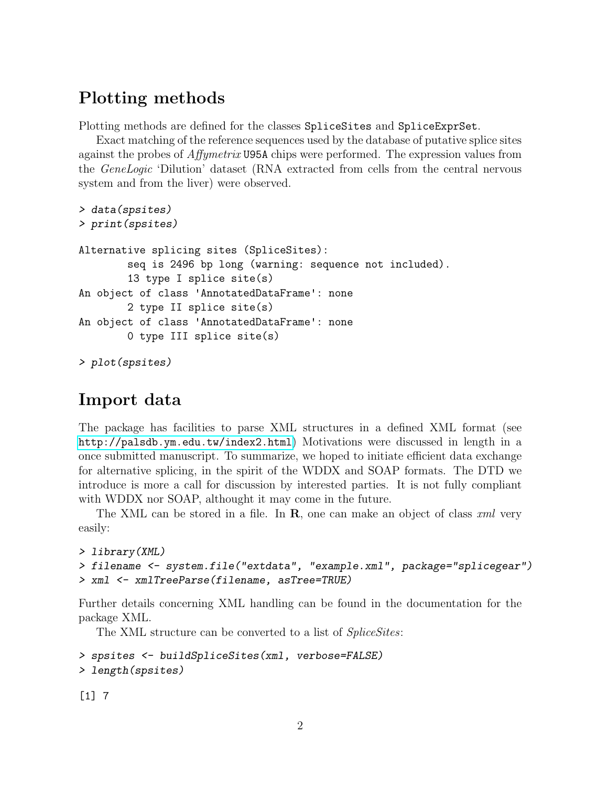### Plotting methods

Plotting methods are defined for the classes SpliceSites and SpliceExprSet.

Exact matching of the reference sequences used by the database of putative splice sites against the probes of Affymetrix U95A chips were performed. The expression values from the GeneLogic 'Dilution' dataset (RNA extracted from cells from the central nervous system and from the liver) were observed.

```
> data(spsites)
> print(spsites)
Alternative splicing sites (SpliceSites):
        seq is 2496 bp long (warning: sequence not included).
        13 type I splice site(s)
An object of class 'AnnotatedDataFrame': none
        2 type II splice site(s)
An object of class 'AnnotatedDataFrame': none
        0 type III splice site(s)
> plot(spsites)
```
### Import data

The package has facilities to parse XML structures in a defined XML format (see <http://palsdb.ym.edu.tw/index2.html>) Motivations were discussed in length in a once submitted manuscript. To summarize, we hoped to initiate efficient data exchange for alternative splicing, in the spirit of the WDDX and SOAP formats. The DTD we introduce is more a call for discussion by interested parties. It is not fully compliant with WDDX nor SOAP, althought it may come in the future.

The XML can be stored in a file. In  $\bf{R}$ , one can make an object of class xml very easily:

```
> library(XML)
> filename <- system.file("extdata", "example.xml", package="splicegear")
> xml <- xmlTreeParse(filename, asTree=TRUE)
```
Further details concerning XML handling can be found in the documentation for the package XML.

The XML structure can be converted to a list of *SpliceSites*:

```
> spsites <- buildSpliceSites(xml, verbose=FALSE)
> length(spsites)
```
[1] 7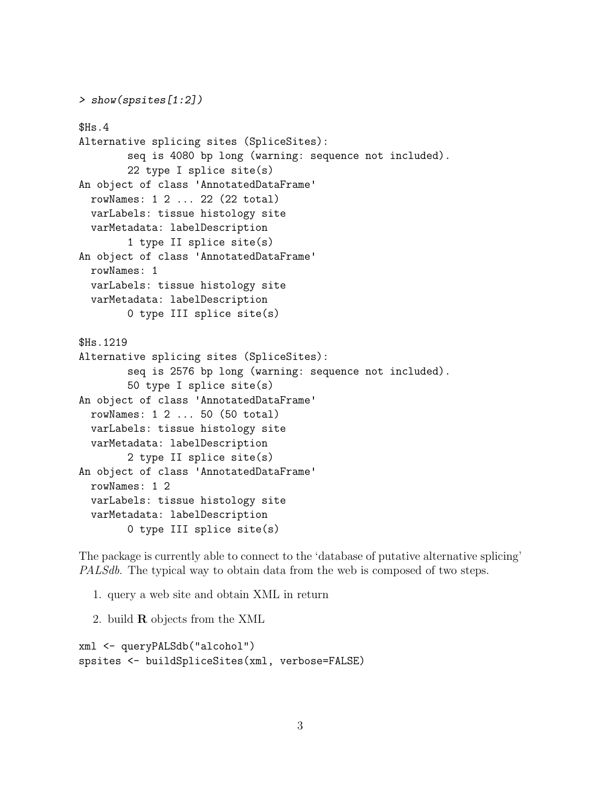```
> show(spsites[1:2])
$Hs.4
Alternative splicing sites (SpliceSites):
        seq is 4080 bp long (warning: sequence not included).
        22 type I splice site(s)
An object of class 'AnnotatedDataFrame'
  rowNames: 1 2 ... 22 (22 total)
 varLabels: tissue histology site
  varMetadata: labelDescription
        1 type II splice site(s)
An object of class 'AnnotatedDataFrame'
 rowNames: 1
 varLabels: tissue histology site
 varMetadata: labelDescription
        0 type III splice site(s)
$Hs.1219
Alternative splicing sites (SpliceSites):
        seq is 2576 bp long (warning: sequence not included).
        50 type I splice site(s)
An object of class 'AnnotatedDataFrame'
 rowNames: 1 2 ... 50 (50 total)
 varLabels: tissue histology site
 varMetadata: labelDescription
        2 type II splice site(s)
An object of class 'AnnotatedDataFrame'
 rowNames: 1 2
 varLabels: tissue histology site
 varMetadata: labelDescription
        0 type III splice site(s)
```
The package is currently able to connect to the 'database of putative alternative splicing' PALSdb. The typical way to obtain data from the web is composed of two steps.

- 1. query a web site and obtain XML in return
- 2. build R objects from the XML

```
xml <- queryPALSdb("alcohol")
spsites <- buildSpliceSites(xml, verbose=FALSE)
```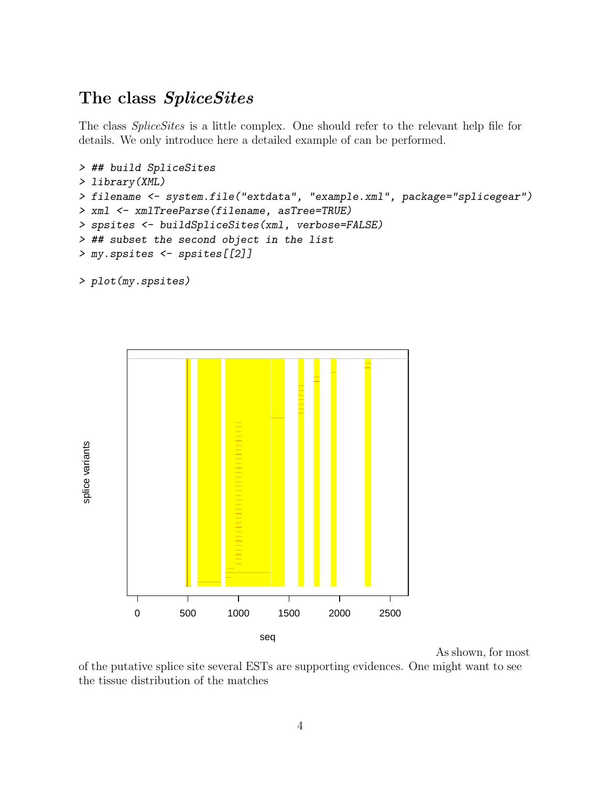#### The class SpliceSites

The class SpliceSites is a little complex. One should refer to the relevant help file for details. We only introduce here a detailed example of can be performed.

```
> ## build SpliceSites
> library(XML)
> filename <- system.file("extdata", "example.xml", package="splicegear")
> xml <- xmlTreeParse(filename, asTree=TRUE)
> spsites <- buildSpliceSites(xml, verbose=FALSE)
> ## subset the second object in the list
> my.spsites <- spsites[[2]]
```

```
> plot(my.spsites)
```


As shown, for most

of the putative splice site several ESTs are supporting evidences. One might want to see the tissue distribution of the matches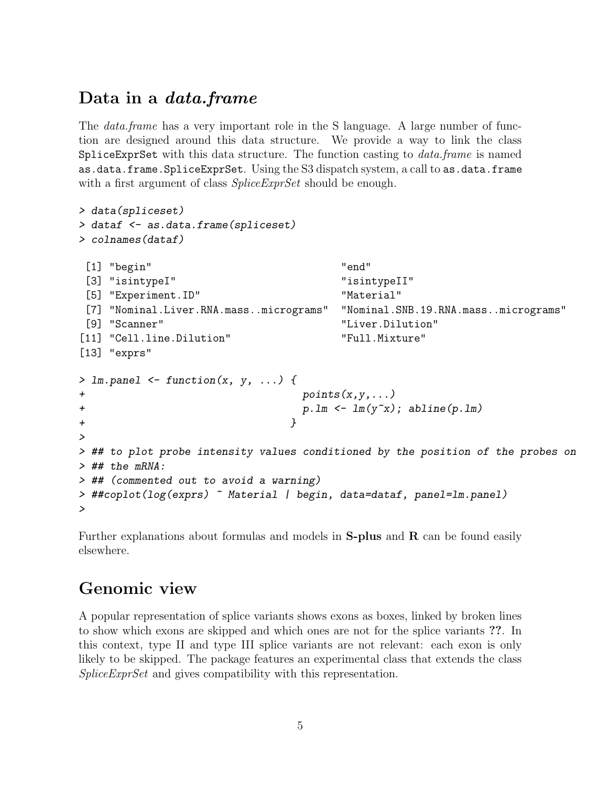### Data in a *data.frame*

The *data.frame* has a very important role in the S language. A large number of function are designed around this data structure. We provide a way to link the class SpliceExprSet with this data structure. The function casting to  $data-frame$  is named as.data.frame.SpliceExprSet. Using the S3 dispatch system, a call to as.data.frame with a first argument of class *SpliceExprSet* should be enough.

```
> data(spliceset)
> dataf <- as.data.frame(spliceset)
> colnames(dataf)
[1] "begin" "end"
[3] "isintypeI" "isintypeII"
[5] "Experiment.ID" "Material"
[7] "Nominal.Liver.RNA.mass..micrograms" "Nominal.SNB.19.RNA.mass..micrograms"
[9] "Scanner" "Liver.Dilution"
[11] "Cell.line.Dilution" "Full.Mixture"
[13] "exprs"
> lm.panel \leq function(x, y, ...) {
+ points(x,y,...)
+ p.lm <- lm(y^{\sim}x); abline(p.lm)
+ }
>
> ## to plot probe intensity values conditioned by the position of the probes on
> ## the mRNA:
> ## (commented out to avoid a warning)
> ##coplot(log(exprs) ~ Material | begin, data=dataf, panel=lm.panel)
>
```
Further explanations about formulas and models in  $S$ -plus and  $R$  can be found easily elsewhere.

### Genomic view

A popular representation of splice variants shows exons as boxes, linked by broken lines to show which exons are skipped and which ones are not for the splice variants ??. In this context, type II and type III splice variants are not relevant: each exon is only likely to be skipped. The package features an experimental class that extends the class SpliceExprSet and gives compatibility with this representation.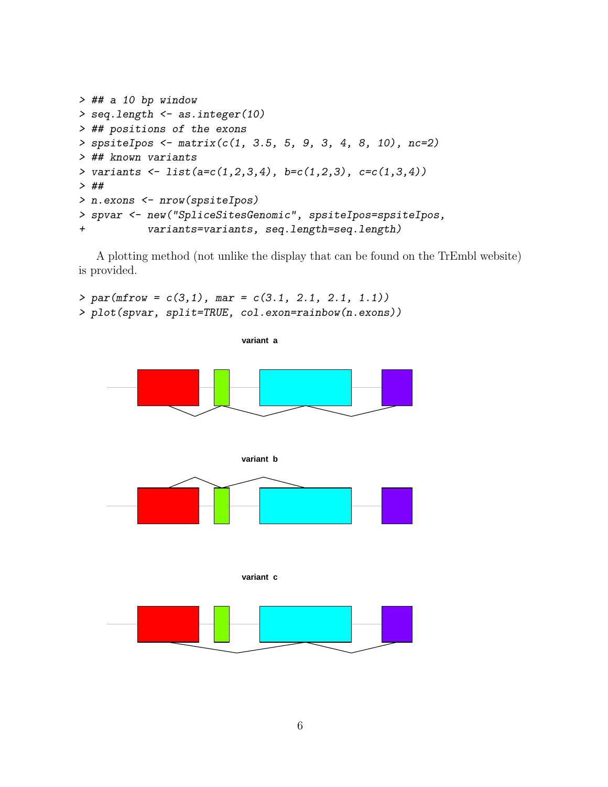```
> ## a 10 bp window
> seq.length <- as.integer(10)
> ## positions of the exons
> spsiteIpos <- matrix(c(1, 3.5, 5, 9, 3, 4, 8, 10), nc=2)
> ## known variants
> variants <- list(a=c(1,2,3,4), b=c(1,2,3), c=c(1,3,4))
> ##
> n.exons <- nrow(spsiteIpos)
> spvar <- new("SpliceSitesGenomic", spsiteIpos=spsiteIpos,
+ variants=variants, seq.length=seq.length)
```
A plotting method (not unlike the display that can be found on the TrEmbl website) is provided.

 $> par(mfrow = c(3,1), mar = c(3.1, 2.1, 2.1, 1.1))$ > plot(spvar, split=TRUE, col.exon=rainbow(n.exons))